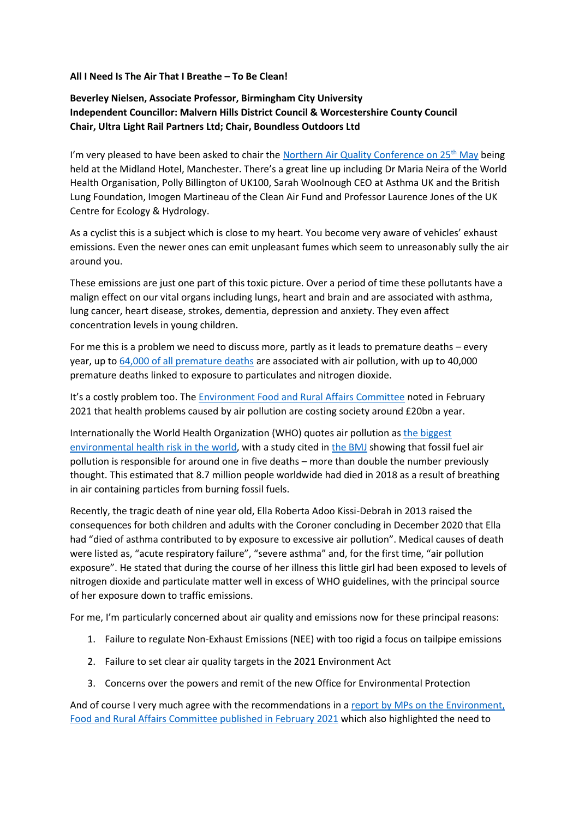## **All I Need Is The Air That I Breathe – To Be Clean!**

## **Beverley Nielsen, Associate Professor, Birmingham City University Independent Councillor: Malvern Hills District Council & Worcestershire County Council Chair, Ultra Light Rail Partners Ltd; Chair, Boundless Outdoors Ltd**

I'm very pleased to have been asked to chair the Northern Air Quality Conference on  $25<sup>th</sup>$  May being held at the Midland Hotel, Manchester. There's a great line up including Dr Maria Neira of the World Health Organisation, Polly Billington of UK100, Sarah Woolnough CEO at Asthma UK and the British Lung Foundation, Imogen Martineau of the Clean Air Fund and Professor Laurence Jones of the UK Centre for Ecology & Hydrology.

As a cyclist this is a subject which is close to my heart. You become very aware of vehicles' exhaust emissions. Even the newer ones can emit unpleasant fumes which seem to unreasonably sully the air around you.

These emissions are just one part of this toxic picture. Over a period of time these pollutants have a malign effect on our vital organs including lungs, heart and brain and are associated with asthma, lung cancer, heart disease, strokes, dementia, depression and anxiety. They even affect concentration levels in young children.

For me this is a problem we need to discuss more, partly as it leads to premature deaths – every year, up to [64,000 of all premature deaths](https://publications.parliament.uk/pa/cm5801/cmselect/cmenvfru/468/46805.htm#_idTextAnchor005) are associated with air pollution, with up to 40,000 premature deaths linked to exposure to particulates and nitrogen dioxide.

It's a costly problem too. The [Environment Food and Rural Affairs Committee](https://ukparliament.shorthandstories.com/pandemic-air-quality-EFRA-report/index.html) noted in February 2021 that health problems caused by air pollution are costing society around £20bn a year.

Internationally the World Health Organization (WHO) quotes air pollution as [the biggest](https://www.who.int/phe/health_topics/outdoorair/databases/en/#:~:text=In%20new%20estimates%20released%2C%20WHO,largest%20single%20environmental%20health%20risk)  [environmental health risk in the world,](https://www.who.int/phe/health_topics/outdoorair/databases/en/#:~:text=In%20new%20estimates%20released%2C%20WHO,largest%20single%20environmental%20health%20risk) with a study cited in [the BMJ](https://www.bmj.com/content/372/bmj.n406.full) showing that fossil fuel air pollution is responsible for around one in five deaths – more than double the number previously thought. This estimated that 8.7 million people worldwide had died in 2018 as a result of breathing in air containing particles from burning fossil fuels.

Recently, the tragic death of nine year old, Ella Roberta Adoo Kissi-Debrah in 2013 raised the consequences for both children and adults with the Coroner concluding in December 2020 that Ella had "died of asthma contributed to by exposure to excessive air pollution". Medical causes of death were listed as, "acute respiratory failure", "severe asthma" and, for the first time, "air pollution exposure". He stated that during the course of her illness this little girl had been exposed to levels of nitrogen dioxide and particulate matter well in excess of WHO guidelines, with the principal source of her exposure down to traffic emissions.

For me, I'm particularly concerned about air quality and emissions now for these principal reasons:

- 1. Failure to regulate Non-Exhaust Emissions (NEE) with too rigid a focus on tailpipe emissions
- 2. Failure to set clear air quality targets in the 2021 Environment Act
- 3. Concerns over the powers and remit of the new Office for Environmental Protection

And of course I very much agree with the recommendations in a [report by MPs on the Environment,](https://ukparliament.shorthandstories.com/pandemic-air-quality-EFRA-report/index.html#group-section-What-can-be-done-LS5wC14ut1)  [Food and Rural Affairs Committee published in February 2021](https://ukparliament.shorthandstories.com/pandemic-air-quality-EFRA-report/index.html#group-section-What-can-be-done-LS5wC14ut1) which also highlighted the need to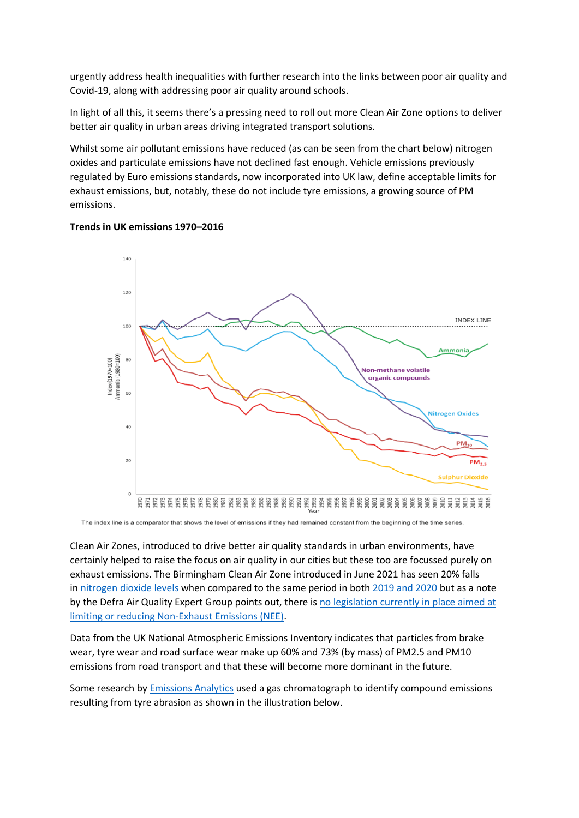urgently address health inequalities with further research into the links between poor air quality and Covid-19, along with addressing poor air quality around schools.

In light of all this, it seems there's a pressing need to roll out more Clean Air Zone options to deliver better air quality in urban areas driving integrated transport solutions.

Whilst some air pollutant emissions have reduced (as can be seen from the chart below) nitrogen oxides and particulate emissions have not declined fast enough. Vehicle emissions previously regulated by Euro emissions standards, now incorporated into UK law, define acceptable limits for exhaust emissions, but, notably, these do not include tyre emissions, a growing source of PM emissions.





The index line is a comparator that shows the level of emissions if they had remained constant from the beginning of the time series

Clean Air Zones, introduced to drive better air quality standards in urban environments, have certainly helped to raise the focus on air quality in our cities but these too are focussed purely on exhaust emissions. The Birmingham Clean Air Zone introduced in June 2021 has seen 20% falls in [nitrogen dioxide levels](https://inews.co.uk/news/birmingham-clean-air-pollution-charging-driving-city-centre-1185720) when compared to the same period in both [2019 and 2020](https://www.centreforcities.org/blog/is-birminghams-clean-air-zone-hurting-its-city-centre/) but as a note by the Defra Air Quality Expert Group points out, there is [no legislation currently in place aimed at](https://uk-air.defra.gov.uk/assets/documents/reports/cat09/1907101151_20190709_Non_Exhaust_Emissions_typeset_Final.pdf)  [limiting or reducing Non-Exhaust Emissions \(NEE\).](https://uk-air.defra.gov.uk/assets/documents/reports/cat09/1907101151_20190709_Non_Exhaust_Emissions_typeset_Final.pdf)

Data from the UK National Atmospheric Emissions Inventory indicates that particles from brake wear, tyre wear and road surface wear make up 60% and 73% (by mass) of PM2.5 and PM10 emissions from road transport and that these will become more dominant in the future.

Some research by **[Emissions Analytics](https://www.emissionsanalytics.com/news/whats-in-a-tyre#:~:text=Emissions%20Analytics%27%20testing%20shows%20that,increases%20to%20around%20one%20thousand.)** used a gas chromatograph to identify compound emissions resulting from tyre abrasion as shown in the illustration below.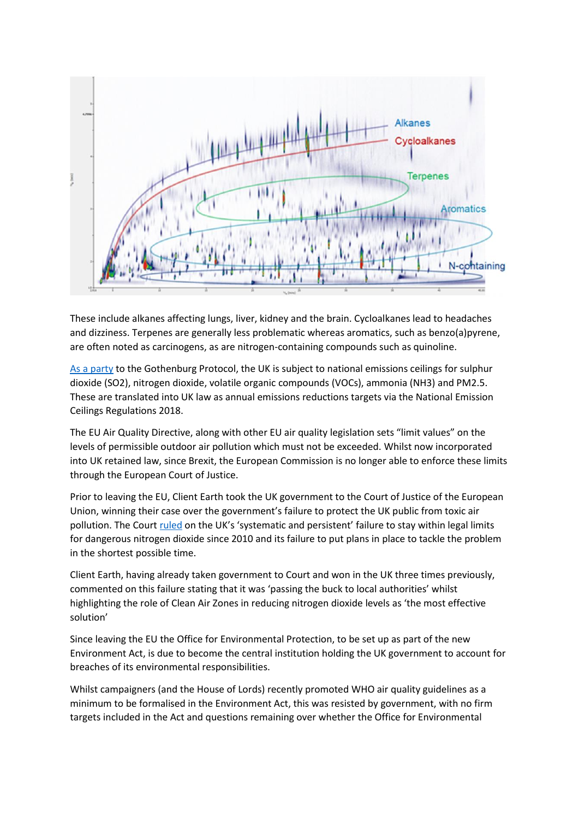

These include alkanes affecting lungs, liver, kidney and the brain. Cycloalkanes lead to headaches and dizziness. Terpenes are generally less problematic whereas aromatics, such as benzo(a)pyrene, are often noted as carcinogens, as are nitrogen-containing compounds such as quinoline.

[As a party](https://publications.parliament.uk/pa/cm5801/cmselect/cmenvfru/468/46805.htm#_idTextAnchor005) to the Gothenburg Protocol, the UK is subject to national emissions ceilings for sulphur dioxide (SO2), nitrogen dioxide, volatile organic compounds (VOCs), ammonia (NH3) and PM2.5. These are translated into UK law as annual emissions reductions targets via the National Emission Ceilings Regulations 2018.

The EU Air Quality Directive, along with other EU air quality legislation sets "limit values" on the levels of permissible outdoor air pollution which must not be exceeded. Whilst now incorporated into UK retained law, since Brexit, the European Commission is no longer able to enforce these limits through the European Court of Justice.

Prior to leaving the EU, Client Earth took the UK government to the Court of Justice of the European Union, winning their case over the government's failure to protect the UK public from toxic air pollution. The Court [ruled](http://curia.europa.eu/juris/document/document.jsf?text=&docid=238474&pageIndex=0&doclang=EN&mode=lst&dir=&occ=first&part=1&cid=3502431) on the UK's 'systematic and persistent' failure to stay within legal limits for dangerous nitrogen dioxide since 2010 and its failure to put plans in place to tackle the problem in the shortest possible time.

Client Earth, having already taken government to Court and won in the UK three times previously, commented on this failure stating that it was 'passing the buck to local authorities' whilst highlighting the role of Clean Air Zones in reducing nitrogen dioxide levels as 'the most effective solution'

Since leaving the EU the Office for Environmental Protection, to be set up as part of the new Environment Act, is due to become the central institution holding the UK government to account for breaches of its environmental responsibilities.

Whilst campaigners (and the House of Lords) recently promoted WHO air quality guidelines as a minimum to be formalised in the Environment Act, this was resisted by government, with no firm targets included in the Act and questions remaining over whether the Office for Environmental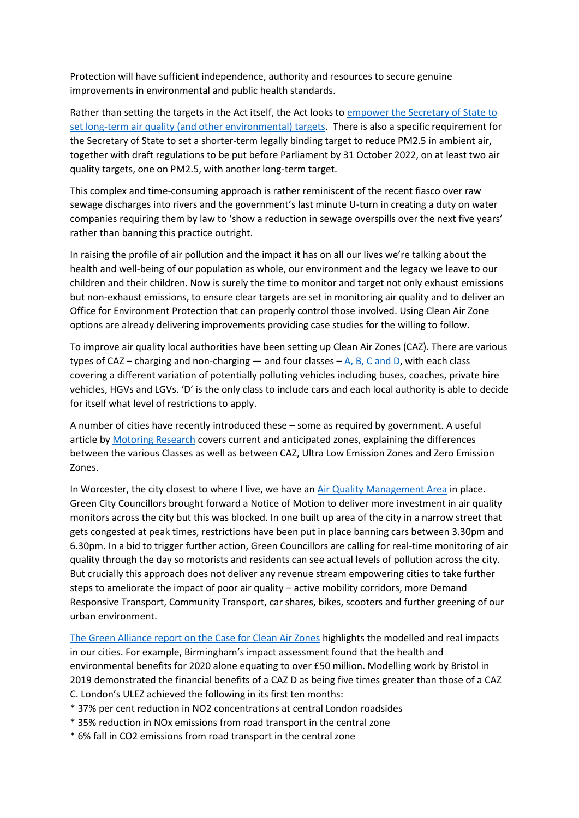Protection will have sufficient independence, authority and resources to secure genuine improvements in environmental and public health standards.

Rather than setting the targets in the Act itself, the Act looks to [empower the Secretary of State to](https://airqualitynews.com/2021/12/20/environment-act-where-did-we-get-to-on-air-quality/)  [set long-term air quality \(and other environmental\) targets.](https://airqualitynews.com/2021/12/20/environment-act-where-did-we-get-to-on-air-quality/) There is also a specific requirement for the Secretary of State to set a shorter-term legally binding target to reduce PM2.5 in ambient air, together with draft regulations to be put before Parliament by 31 October 2022, on at least two air quality targets, one on PM2.5, with another long-term target.

This complex and time-consuming approach is rather reminiscent of the recent fiasco over raw sewage discharges into rivers and the government's last minute U-turn in creating a duty on water companies requiring them by law to 'show a reduction in sewage overspills over the next five years' rather than banning this practice outright.

In raising the profile of air pollution and the impact it has on all our lives we're talking about the health and well-being of our population as whole, our environment and the legacy we leave to our children and their children. Now is surely the time to monitor and target not only exhaust emissions but non-exhaust emissions, to ensure clear targets are set in monitoring air quality and to deliver an Office for Environment Protection that can properly control those involved. Using Clean Air Zone options are already delivering improvements providing case studies for the willing to follow.

To improve air quality local authorities have been setting up Clean Air Zones (CAZ). There are various types of CAZ – charging and non-charging — and four classes –  $A$ , B, C and D, with each class covering a different variation of potentially polluting vehicles including buses, coaches, private hire vehicles, HGVs and LGVs. 'D' is the only class to include cars and each local authority is able to decide for itself what level of restrictions to apply.

A number of cities have recently introduced these – some as required by government. A useful article by [Motoring Research](https://www.motoringresearch.com/advice/what-are-clean-air-zones/) covers current and anticipated zones, explaining the differences between the various Classes as well as between CAZ, Ultra Low Emission Zones and Zero Emission Zones.

In Worcester, the city closest to where I live, we have an [Air Quality Management Area](https://uk-air.defra.gov.uk/aqma/list?la=W&country=all&pollutant=all) in place. Green City Councillors brought forward a Notice of Motion to deliver more investment in air quality monitors across the city but this was blocked. In one built up area of the city in a narrow street that gets congested at peak times, restrictions have been put in place banning cars between 3.30pm and 6.30pm. In a bid to trigger further action, Green Councillors are calling for real-time monitoring of air quality through the day so motorists and residents can see actual levels of pollution across the city. But crucially this approach does not deliver any revenue stream empowering cities to take further steps to ameliorate the impact of poor air quality – active mobility corridors, more Demand Responsive Transport, Community Transport, car shares, bikes, scooters and further greening of our urban environment.

The Green Alliance report [on the Case for Clean Air Zones](https://green-alliance.org.uk/wp-content/uploads/2021/11/The_case_for_clean_air_zones.pdf) highlights the modelled and real impacts in our cities. For example, Birmingham's impact assessment found that the health and environmental benefits for 2020 alone equating to over £50 million. Modelling work by Bristol in 2019 demonstrated the financial benefits of a CAZ D as being five times greater than those of a CAZ C. London's ULEZ achieved the following in its first ten months:

- \* 37% per cent reduction in NO2 concentrations at central London roadsides
- \* 35% reduction in NOx emissions from road transport in the central zone
- \* 6% fall in CO2 emissions from road transport in the central zone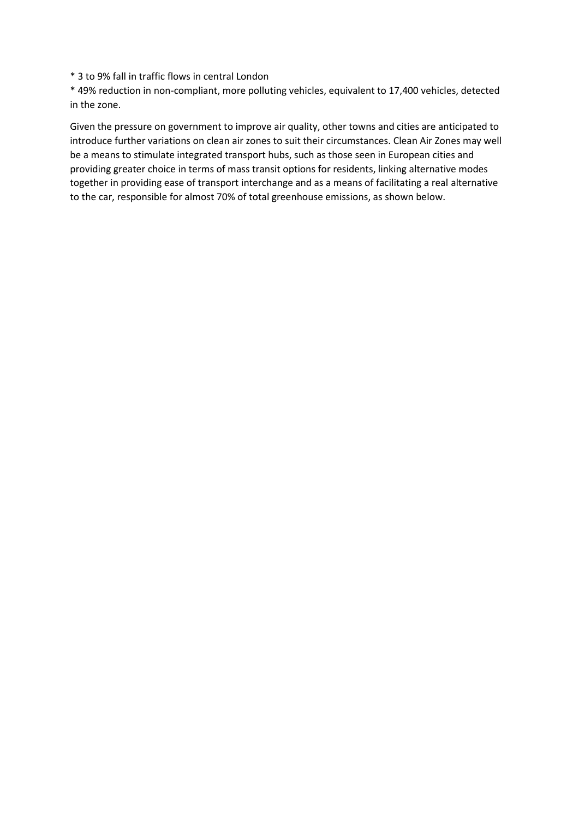\* 3 to 9% fall in traffic flows in central London

\* 49% reduction in non-compliant, more polluting vehicles, equivalent to 17,400 vehicles, detected in the zone.

Given the pressure on government to improve air quality, other towns and cities are anticipated to introduce further variations on clean air zones to suit their circumstances. Clean Air Zones may well be a means to stimulate integrated transport hubs, such as those seen in European cities and providing greater choice in terms of mass transit options for residents, linking alternative modes together in providing ease of transport interchange and as a means of facilitating a real alternative to the car, responsible for almost 70% of total greenhouse emissions, as shown below.